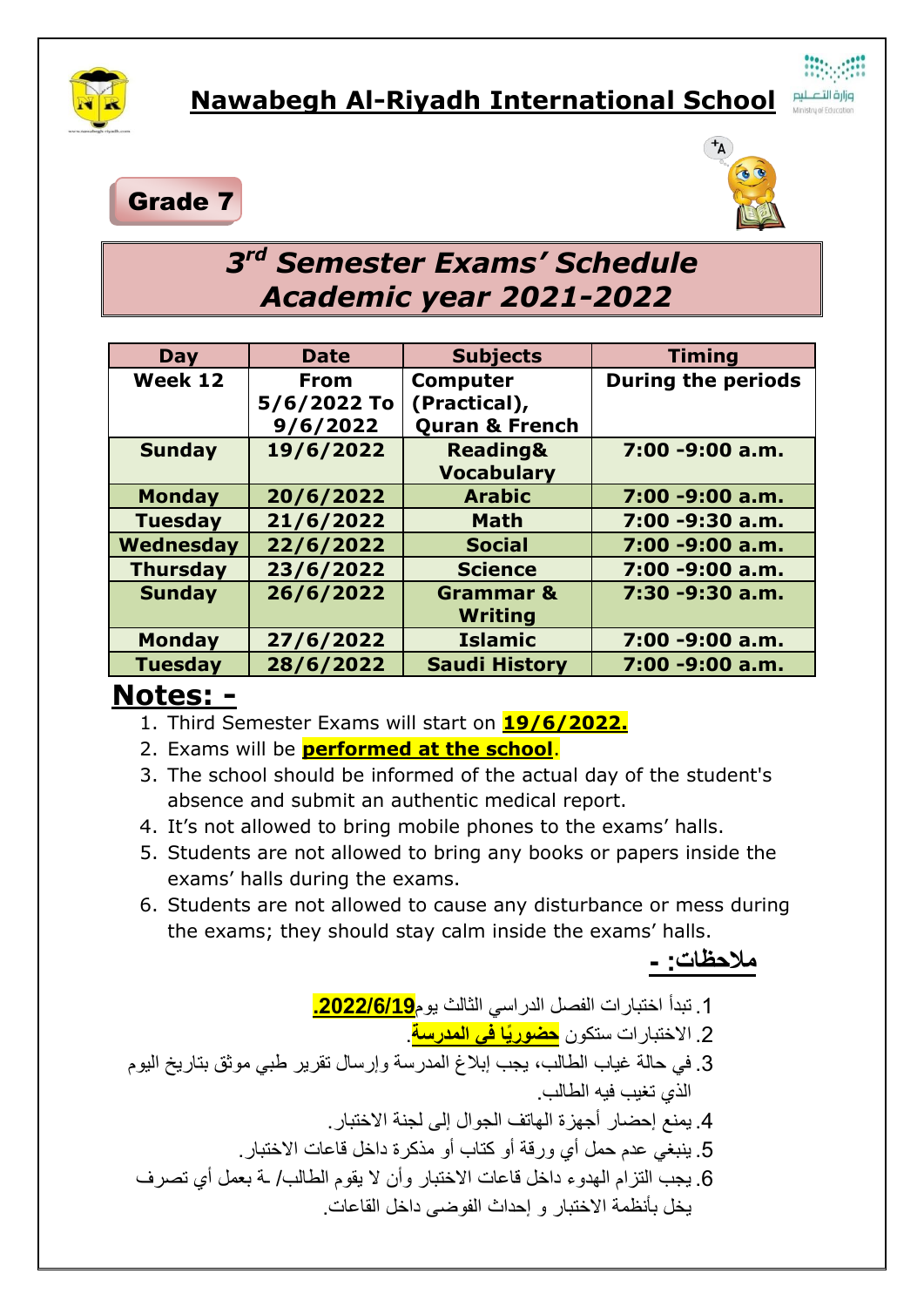

## Grade 7



## *3 rd Semester Exams' Schedule Academic year 2021-2022*

| Day             | <b>Date</b> | <b>Subjects</b>           | <b>Timing</b>             |
|-----------------|-------------|---------------------------|---------------------------|
| Week 12         | <b>From</b> | <b>Computer</b>           | <b>During the periods</b> |
|                 | 5/6/2022 To | (Practical),              |                           |
|                 | 9/6/2022    | <b>Quran &amp; French</b> |                           |
| <b>Sunday</b>   | 19/6/2022   | <b>Reading&amp;</b>       | 7:00 -9:00 a.m.           |
|                 |             | <b>Vocabulary</b>         |                           |
| <b>Monday</b>   | 20/6/2022   | <b>Arabic</b>             | 7:00 -9:00 a.m.           |
| <b>Tuesday</b>  | 21/6/2022   | <b>Math</b>               | 7:00 -9:30 a.m.           |
| Wednesday       | 22/6/2022   | <b>Social</b>             | 7:00 -9:00 a.m.           |
| <b>Thursday</b> | 23/6/2022   | <b>Science</b>            | 7:00 -9:00 a.m.           |
| <b>Sunday</b>   | 26/6/2022   | <b>Grammar &amp;</b>      | 7:30 -9:30 a.m.           |
|                 |             | Writing                   |                           |
| <b>Monday</b>   | 27/6/2022   | <b>Islamic</b>            | 7:00 -9:00 a.m.           |
| <b>Tuesday</b>  | 28/6/2022   | <b>Saudi History</b>      | 7:00 -9:00 a.m.           |

## **Notes: -**

- 1. Third Semester Exams will start on **19/6/2022.**
- 2. Exams will be **performed at the school**.
- 3. The school should be informed of the actual day of the student's absence and submit an authentic medical report.
- 4. It's not allowed to bring mobile phones to the exams' halls.
- 5. Students are not allowed to bring any books or papers inside the exams' halls during the exams.
- 6. Students are not allowed to cause any disturbance or mess during the exams; they should stay calm inside the exams' halls.

**مالحظات: -**

.1 تبدأ اختبارات الفصل الدراسي الثالث يوم**.2222/6/19**

.2 االختبارات ستكون **حضورًيا في المدرسة**.

- .3 في حالة غياب الطالب، يجب إبالغ المدرسة وإرسال تقرير طبي موثق بتاريخ اليوم الذي تغيب فيه الطالب.
	- .4 يمنع إحضار أجهزة الهاتف الجوال إلى لجنة االختبار.
	- .5 ينبغي عدم حمل أي ورقة أو كتاب أو مذكرة داخل قاعات االختبار.
- .6 يجب التزام الهدوء داخل قاعات االختبار وأن ال يقوم الطالب/ ـة بعمل أي تصرف يخل بأنظمة االختبار و إحداث الفوضى داخل القاعات.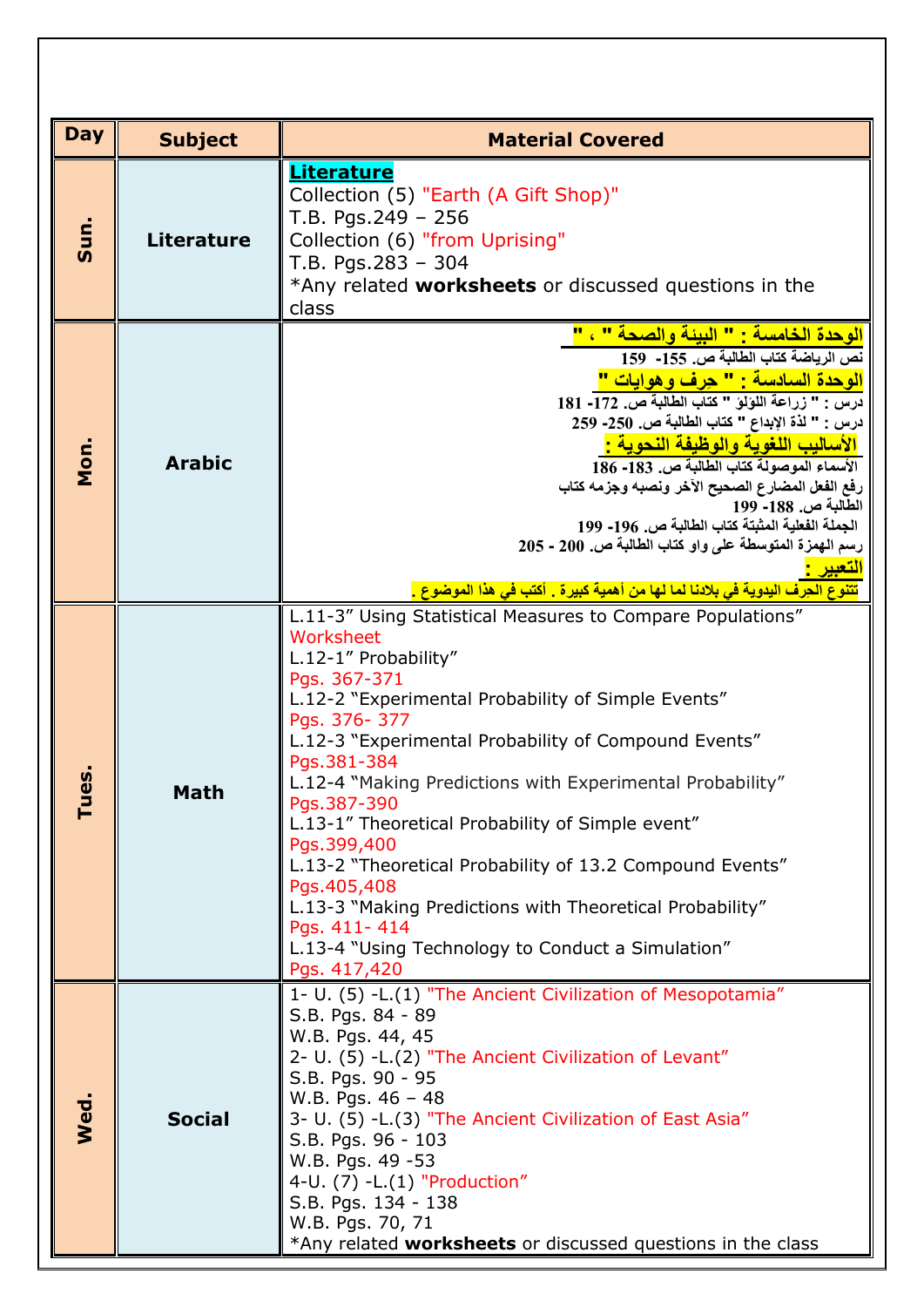| <b>Day</b>    | <b>Subject</b>    | <b>Material Covered</b>                                                                                                                                                                                                                                                                                                                                                                                                                                                                                                                                                                                                                 |  |
|---------------|-------------------|-----------------------------------------------------------------------------------------------------------------------------------------------------------------------------------------------------------------------------------------------------------------------------------------------------------------------------------------------------------------------------------------------------------------------------------------------------------------------------------------------------------------------------------------------------------------------------------------------------------------------------------------|--|
| Sun.          | <b>Literature</b> | <b>Literature</b><br>Collection (5) "Earth (A Gift Shop)"<br>T.B. Pgs.249 - 256<br>Collection (6) "from Uprising"<br>$T.B. Pqs. 283 - 304$<br>*Any related worksheets or discussed questions in the<br>class                                                                                                                                                                                                                                                                                                                                                                                                                            |  |
| Mon.          | <b>Arabic</b>     | الوحدة الخامسة : " البيئة والصحة " ، "<br>نص الرياضة كتاب الطالبة ص. 155- 159<br><mark>الوحدة السادسة : " حِرف وهوايات "</mark><br>درس : " زراعة اللؤلؤ " كتاب الطالبة ص. 172- 181<br>درس : " لذة الإبداع " كتاب الطالبة ص. 250- 259<br><mark>الأساليب اللغوية والوظيفة النحوية :</mark><br>الأسماء الموصولة كتاب الطالبة ص. 183- 186<br>رفع الفعل المضارع الصحيح الآخر ونصبه وجزمه كتاب<br>الطالبة ص. 188- 199<br>الجملة الفعلية المثبتة كتاب الطالبة ص. 196- 199<br>رسم الهمزة المتوسطة على واو كتاب الطالبة ص. 200 - 205<br><mark>تتنوع الحِرف اليدوية في بلادنا لما لها من أهمية كبيرة . أكتب في هذا الموضوع .</mark>               |  |
| <u>ဖ</u><br>근 | math              | L.11-3" Using Statistical Measures to Compare Populations"<br>Worksheet<br>L.12-1" Probability"<br>Pgs. 367-371<br>L.12-2 "Experimental Probability of Simple Events"<br>Pgs. 376-377<br>L.12-3 "Experimental Probability of Compound Events"<br>Pgs.381-384<br>L.12-4 "Making Predictions with Experimental Probability"<br>Pgs.387-390<br>L.13-1" Theoretical Probability of Simple event"<br>Pgs.399,400<br>L.13-2 "Theoretical Probability of 13.2 Compound Events"<br>Pgs.405,408<br>L.13-3 "Making Predictions with Theoretical Probability"<br>Pgs. 411-414<br>L.13-4 "Using Technology to Conduct a Simulation"<br>Pgs. 417,420 |  |
| Wed.          | <b>Social</b>     | 1- U. (5) - L. (1) "The Ancient Civilization of Mesopotamia"<br>S.B. Pgs. 84 - 89<br>W.B. Pgs. 44, 45<br>2- U. (5) - L. (2) "The Ancient Civilization of Levant"<br>S.B. Pgs. 90 - 95<br>W.B. Pgs. $46 - 48$<br>3- U. (5) -L.(3) "The Ancient Civilization of East Asia"<br>S.B. Pgs. 96 - 103<br>W.B. Pgs. 49 -53<br>4-U. (7) -L.(1) "Production"<br>S.B. Pgs. 134 - 138<br>W.B. Pgs. 70, 71<br>*Any related worksheets or discussed questions in the class                                                                                                                                                                            |  |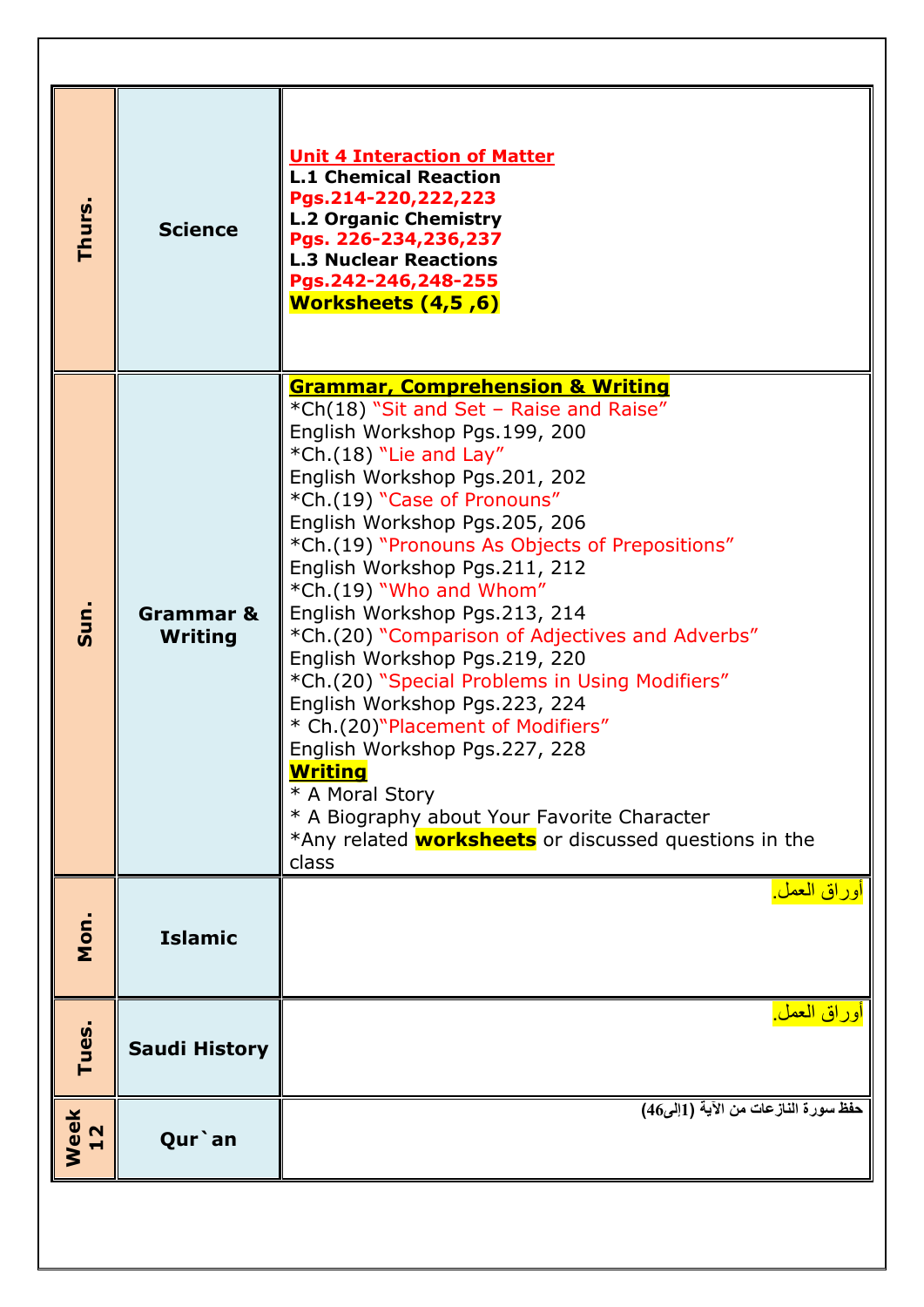| Thurs.     | <b>Science</b>              | <b>Unit 4 Interaction of Matter</b><br><b>L.1 Chemical Reaction</b><br>Pgs.214-220,222,223<br><b>L.2 Organic Chemistry</b><br>Pgs. 226-234,236,237<br><b>L.3 Nuclear Reactions</b><br>Pgs.242-246,248-255<br><b>Worksheets (4,5,6)</b>                                                                                                                                                                                                                                                                                                                                                                                                                                                                                                                                                                      |
|------------|-----------------------------|-------------------------------------------------------------------------------------------------------------------------------------------------------------------------------------------------------------------------------------------------------------------------------------------------------------------------------------------------------------------------------------------------------------------------------------------------------------------------------------------------------------------------------------------------------------------------------------------------------------------------------------------------------------------------------------------------------------------------------------------------------------------------------------------------------------|
| Sun.       | Grammar &<br><b>Writing</b> | <b>Grammar, Comprehension &amp; Writing</b><br>*Ch(18) "Sit and Set - Raise and Raise"<br>English Workshop Pgs.199, 200<br>*Ch.(18) "Lie and Lay"<br>English Workshop Pgs.201, 202<br>*Ch.(19) "Case of Pronouns"<br>English Workshop Pgs.205, 206<br>*Ch.(19) "Pronouns As Objects of Prepositions"<br>English Workshop Pgs.211, 212<br>*Ch.(19) "Who and Whom"<br>English Workshop Pgs.213, 214<br>*Ch.(20) "Comparison of Adjectives and Adverbs"<br>English Workshop Pgs.219, 220<br>*Ch.(20) "Special Problems in Using Modifiers"<br>English Workshop Pgs.223, 224<br>* Ch.(20)"Placement of Modifiers"<br>English Workshop Pgs.227, 228<br><b>Writing</b><br>* A Moral Story<br>* A Biography about Your Favorite Character<br>*Any related <b>worksheets</b> or discussed questions in the<br>class |
| Mon.       | <b>Islamic</b>              | أوراق العمل <sub>.</sub>                                                                                                                                                                                                                                                                                                                                                                                                                                                                                                                                                                                                                                                                                                                                                                                    |
| Tues.      | <b>Saudi History</b>        | اوراق العمل <u>.</u>                                                                                                                                                                                                                                                                                                                                                                                                                                                                                                                                                                                                                                                                                                                                                                                        |
| Week<br>12 | Qur`an                      | حفظ سورة النازعات من الآية (1إلى46)                                                                                                                                                                                                                                                                                                                                                                                                                                                                                                                                                                                                                                                                                                                                                                         |